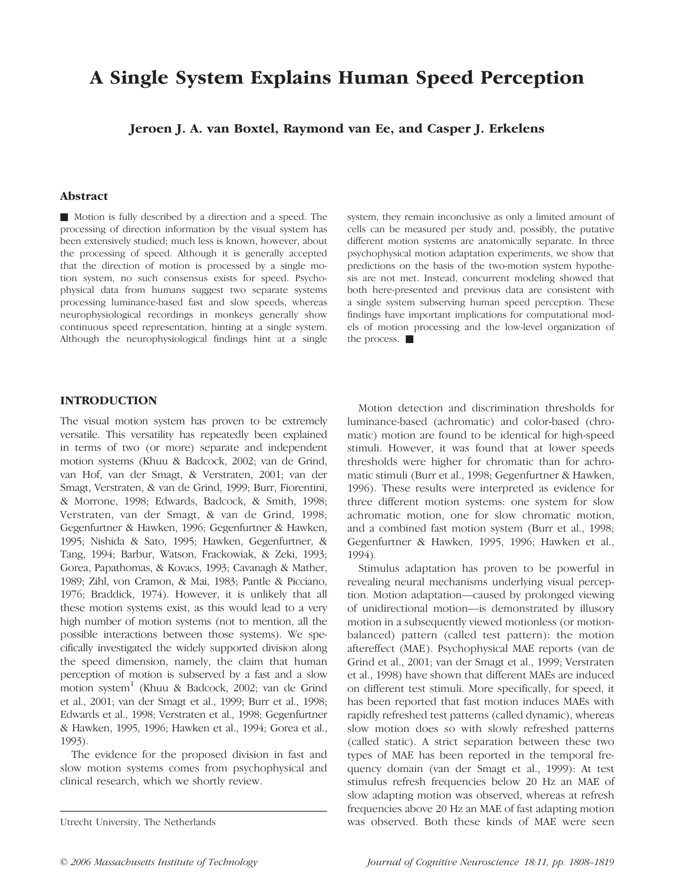# A Single System Explains Human Speed Perception

Jeroen J. A. van Boxtel, Raymond van Ee, and Casper J. Erkelens

## Abstract

 $\blacksquare$  Motion is fully described by a direction and a speed. The processing of direction information by the visual system has been extensively studied; much less is known, however, about the processing of speed. Although it is generally accepted that the direction of motion is processed by a single motion system, no such consensus exists for speed. Psychophysical data from humans suggest two separate systems processing luminance-based fast and slow speeds, whereas neurophysiological recordings in monkeys generally show continuous speed representation, hinting at a single system. Although the neurophysiological findings hint at a single

system, they remain inconclusive as only a limited amount of cells can be measured per study and, possibly, the putative different motion systems are anatomically separate. In three psychophysical motion adaptation experiments, we show that predictions on the basis of the two-motion system hypothesis are not met. Instead, concurrent modeling showed that both here-presented and previous data are consistent with a single system subserving human speed perception. These findings have important implications for computational models of motion processing and the low-level organization of the process.  $\blacksquare$ 

#### INTRODUCTION

The visual motion system has proven to be extremely versatile. This versatility has repeatedly been explained in terms of two (or more) separate and independent motion systems (Khuu & Badcock, 2002; van de Grind, van Hof, van der Smagt, & Verstraten, 2001; van der Smagt, Verstraten, & van de Grind, 1999; Burr, Fiorentini, & Morrone, 1998; Edwards, Badcock, & Smith, 1998; Verstraten, van der Smagt, & van de Grind, 1998; Gegenfurtner & Hawken, 1996; Gegenfurtner & Hawken, 1995; Nishida & Sato, 1995; Hawken, Gegenfurtner, & Tang, 1994; Barbur, Watson, Frackowiak, & Zeki, 1993; Gorea, Papathomas, & Kovacs, 1993; Cavanagh & Mather, 1989; Zihl, von Cramon, & Mai, 1983; Pantle & Picciano, 1976; Braddick, 1974). However, it is unlikely that all these motion systems exist, as this would lead to a very high number of motion systems (not to mention, all the possible interactions between those systems). We specifically investigated the widely supported division along the speed dimension, namely, the claim that human perception of motion is subserved by a fast and a slow motion system<sup>1</sup> (Khuu & Badcock, 2002; van de Grind et al., 2001; van der Smagt et al., 1999; Burr et al., 1998; Edwards et al., 1998; Verstraten et al., 1998; Gegenfurtner & Hawken, 1995, 1996; Hawken et al., 1994; Gorea et al., 1993).

The evidence for the proposed division in fast and slow motion systems comes from psychophysical and clinical research, which we shortly review.

Motion detection and discrimination thresholds for luminance-based (achromatic) and color-based (chromatic) motion are found to be identical for high-speed stimuli. However, it was found that at lower speeds thresholds were higher for chromatic than for achromatic stimuli (Burr et al., 1998; Gegenfurtner & Hawken, 1996). These results were interpreted as evidence for three different motion systems: one system for slow achromatic motion, one for slow chromatic motion, and a combined fast motion system (Burr et al., 1998; Gegenfurtner & Hawken, 1995, 1996; Hawken et al., 1994).

Stimulus adaptation has proven to be powerful in revealing neural mechanisms underlying visual perception. Motion adaptation—caused by prolonged viewing of unidirectional motion—is demonstrated by illusory motion in a subsequently viewed motionless (or motionbalanced) pattern (called test pattern): the motion aftereffect (MAE). Psychophysical MAE reports (van de Grind et al., 2001; van der Smagt et al., 1999; Verstraten et al., 1998) have shown that different MAEs are induced on different test stimuli. More specifically, for speed, it has been reported that fast motion induces MAEs with rapidly refreshed test patterns (called dynamic), whereas slow motion does so with slowly refreshed patterns (called static). A strict separation between these two types of MAE has been reported in the temporal frequency domain (van der Smagt et al., 1999): At test stimulus refresh frequencies below 20 Hz an MAE of slow adapting motion was observed, whereas at refresh frequencies above 20 Hz an MAE of fast adapting motion Utrecht University, The Netherlands was observed. Both these kinds of MAE were seen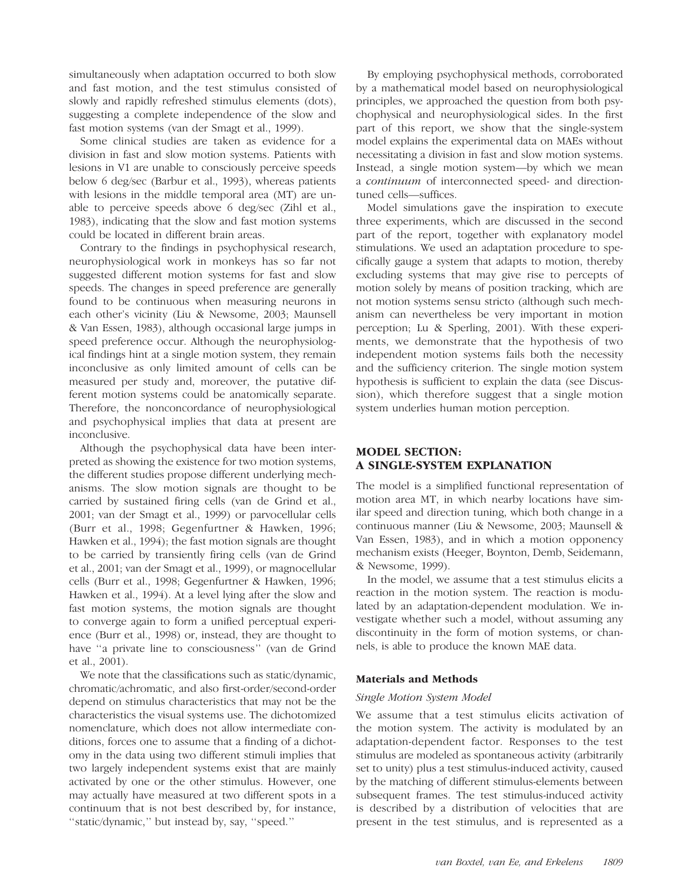simultaneously when adaptation occurred to both slow and fast motion, and the test stimulus consisted of slowly and rapidly refreshed stimulus elements (dots), suggesting a complete independence of the slow and fast motion systems (van der Smagt et al., 1999).

Some clinical studies are taken as evidence for a division in fast and slow motion systems. Patients with lesions in V1 are unable to consciously perceive speeds below 6 deg/sec (Barbur et al., 1993), whereas patients with lesions in the middle temporal area (MT) are unable to perceive speeds above 6 deg/sec (Zihl et al., 1983), indicating that the slow and fast motion systems could be located in different brain areas.

Contrary to the findings in psychophysical research, neurophysiological work in monkeys has so far not suggested different motion systems for fast and slow speeds. The changes in speed preference are generally found to be continuous when measuring neurons in each other's vicinity (Liu & Newsome, 2003; Maunsell & Van Essen, 1983), although occasional large jumps in speed preference occur. Although the neurophysiological findings hint at a single motion system, they remain inconclusive as only limited amount of cells can be measured per study and, moreover, the putative different motion systems could be anatomically separate. Therefore, the nonconcordance of neurophysiological and psychophysical implies that data at present are inconclusive.

Although the psychophysical data have been interpreted as showing the existence for two motion systems, the different studies propose different underlying mechanisms. The slow motion signals are thought to be carried by sustained firing cells (van de Grind et al., 2001; van der Smagt et al., 1999) or parvocellular cells (Burr et al., 1998; Gegenfurtner & Hawken, 1996; Hawken et al., 1994); the fast motion signals are thought to be carried by transiently firing cells (van de Grind et al., 2001; van der Smagt et al., 1999), or magnocellular cells (Burr et al., 1998; Gegenfurtner & Hawken, 1996; Hawken et al., 1994). At a level lying after the slow and fast motion systems, the motion signals are thought to converge again to form a unified perceptual experience (Burr et al., 1998) or, instead, they are thought to have ''a private line to consciousness'' (van de Grind et al., 2001).

We note that the classifications such as static/dynamic, chromatic/achromatic, and also first-order/second-order depend on stimulus characteristics that may not be the characteristics the visual systems use. The dichotomized nomenclature, which does not allow intermediate conditions, forces one to assume that a finding of a dichotomy in the data using two different stimuli implies that two largely independent systems exist that are mainly activated by one or the other stimulus. However, one may actually have measured at two different spots in a continuum that is not best described by, for instance, ''static/dynamic,'' but instead by, say, ''speed.''

By employing psychophysical methods, corroborated by a mathematical model based on neurophysiological principles, we approached the question from both psychophysical and neurophysiological sides. In the first part of this report, we show that the single-system model explains the experimental data on MAEs without necessitating a division in fast and slow motion systems. Instead, a single motion system—by which we mean a continuum of interconnected speed- and directiontuned cells—suffices.

Model simulations gave the inspiration to execute three experiments, which are discussed in the second part of the report, together with explanatory model stimulations. We used an adaptation procedure to specifically gauge a system that adapts to motion, thereby excluding systems that may give rise to percepts of motion solely by means of position tracking, which are not motion systems sensu stricto (although such mechanism can nevertheless be very important in motion perception; Lu & Sperling, 2001). With these experiments, we demonstrate that the hypothesis of two independent motion systems fails both the necessity and the sufficiency criterion. The single motion system hypothesis is sufficient to explain the data (see Discussion), which therefore suggest that a single motion system underlies human motion perception.

## MODEL SECTION: A SINGLE-SYSTEM EXPLANATION

The model is a simplified functional representation of motion area MT, in which nearby locations have similar speed and direction tuning, which both change in a continuous manner (Liu & Newsome, 2003; Maunsell & Van Essen, 1983), and in which a motion opponency mechanism exists (Heeger, Boynton, Demb, Seidemann, & Newsome, 1999).

In the model, we assume that a test stimulus elicits a reaction in the motion system. The reaction is modulated by an adaptation-dependent modulation. We investigate whether such a model, without assuming any discontinuity in the form of motion systems, or channels, is able to produce the known MAE data.

## Materials and Methods

## Single Motion System Model

We assume that a test stimulus elicits activation of the motion system. The activity is modulated by an adaptation-dependent factor. Responses to the test stimulus are modeled as spontaneous activity (arbitrarily set to unity) plus a test stimulus-induced activity, caused by the matching of different stimulus-elements between subsequent frames. The test stimulus-induced activity is described by a distribution of velocities that are present in the test stimulus, and is represented as a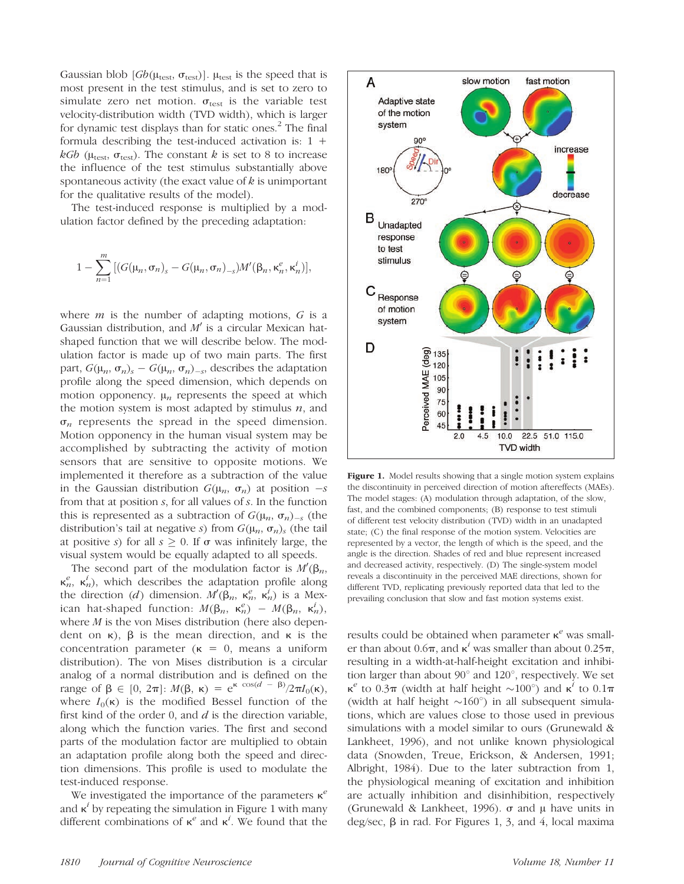Gaussian blob  $[Gb(\mu_{\text{test}}, \sigma_{\text{test}})]$ .  $\mu_{\text{test}}$  is the speed that is most present in the test stimulus, and is set to zero to simulate zero net motion.  $\sigma_{\text{test}}$  is the variable test velocity-distribution width (TVD width), which is larger for dynamic test displays than for static ones.<sup>2</sup> The final formula describing the test-induced activation is: 1 + kGb ( $\mu_{\text{test}}$ ,  $\sigma_{\text{test}}$ ). The constant k is set to 8 to increase the influence of the test stimulus substantially above spontaneous activity (the exact value of  $k$  is unimportant for the qualitative results of the model).

The test-induced response is multiplied by a modulation factor defined by the preceding adaptation:

$$
1 - \sum_{n=1}^{m} \left[ \left( G(\mu_n, \sigma_n)_{s} - G(\mu_n, \sigma_n)_{-s} \right) M'(\beta_n, \kappa_n^e, \kappa_n^i) \right],
$$

where  $m$  is the number of adapting motions,  $G$  is a Gaussian distribution, and  $M'$  is a circular Mexican hatshaped function that we will describe below. The modulation factor is made up of two main parts. The first part,  $G(\mu_n, \sigma_n)_s - G(\mu_n, \sigma_n)_{-s}$ , describes the adaptation profile along the speed dimension, which depends on motion opponency.  $\mu_n$  represents the speed at which the motion system is most adapted by stimulus  $n$ , and  $\sigma_n$  represents the spread in the speed dimension. Motion opponency in the human visual system may be accomplished by subtracting the activity of motion sensors that are sensitive to opposite motions. We implemented it therefore as a subtraction of the value in the Gaussian distribution  $G(\mu_n, \sigma_n)$  at position  $-s$ from that at position s, for all values of s. In the function this is represented as a subtraction of  $G(\mu_n, \sigma_n)_{-s}$  (the distribution's tail at negative s) from  $G(\mu_n, \sigma_n)_s$  (the tail at positive s) for all  $s \geq 0$ . If  $\sigma$  was infinitely large, the visual system would be equally adapted to all speeds.

The second part of the modulation factor is  $M'(\beta_n)$ ,  $\kappa_n^e$ ,  $\kappa_n^i$ ), which describes the adaptation profile along the direction (d) dimension.  $M'(\beta_n, \kappa_n^e, \kappa_n^i)$  is a Mexican hat-shaped function:  $M(\beta_n, \kappa_n^e) - M(\beta_n, \kappa_n^i)$ , where  $M$  is the von Mises distribution (here also dependent on  $\kappa$ ),  $\beta$  is the mean direction, and  $\kappa$  is the concentration parameter ( $\kappa = 0$ , means a uniform distribution). The von Mises distribution is a circular analog of a normal distribution and is defined on the range of  $\beta \in [0, 2\pi]$ :  $M(\beta, \kappa) = e^{\kappa \cos((d - \beta))} / 2\pi I_0(\kappa)$ , where  $I_0(\kappa)$  is the modified Bessel function of the first kind of the order 0, and  $d$  is the direction variable, along which the function varies. The first and second parts of the modulation factor are multiplied to obtain an adaptation profile along both the speed and direction dimensions. This profile is used to modulate the test-induced response.

We investigated the importance of the parameters  $\kappa^e$ and  $\kappa^i$  by repeating the simulation in Figure 1 with many different combinations of  $\kappa^e$  and  $\kappa^i$ . We found that the



Figure 1. Model results showing that a single motion system explains the discontinuity in perceived direction of motion aftereffects (MAEs). The model stages: (A) modulation through adaptation, of the slow, fast, and the combined components; (B) response to test stimuli of different test velocity distribution (TVD) width in an unadapted state; (C) the final response of the motion system. Velocities are represented by a vector, the length of which is the speed, and the angle is the direction. Shades of red and blue represent increased and decreased activity, respectively. (D) The single-system model reveals a discontinuity in the perceived MAE directions, shown for different TVD, replicating previously reported data that led to the prevailing conclusion that slow and fast motion systems exist.

results could be obtained when parameter  $\kappa^e$  was smaller than about  $0.6\pi$ , and  $\kappa^i$  was smaller than about  $0.25\pi$ , resulting in a width-at-half-height excitation and inhibition larger than about  $90^\circ$  and  $120^\circ$ , respectively. We set  $\kappa^e$  to 0.3 $\pi$  (width at half height  $\sim$ 100°) and  $\kappa^i$  to 0.1 $\pi$ (width at half height  $\sim 160^\circ$ ) in all subsequent simulations, which are values close to those used in previous simulations with a model similar to ours (Grunewald & Lankheet, 1996), and not unlike known physiological data (Snowden, Treue, Erickson, & Andersen, 1991; Albright, 1984). Due to the later subtraction from 1, the physiological meaning of excitation and inhibition are actually inhibition and disinhibition, respectively (Grunewald & Lankheet, 1996).  $\sigma$  and  $\mu$  have units in deg/sec,  $\beta$  in rad. For Figures 1, 3, and 4, local maxima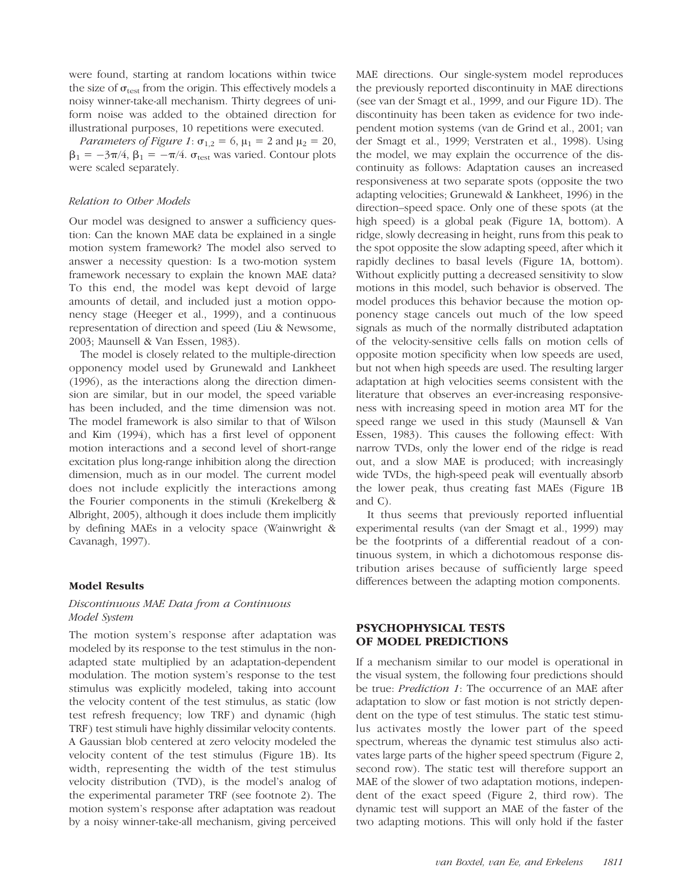were found, starting at random locations within twice the size of  $\sigma_{\text{test}}$  from the origin. This effectively models a noisy winner-take-all mechanism. Thirty degrees of uniform noise was added to the obtained direction for illustrational purposes, 10 repetitions were executed.

Parameters of Figure 1:  $\sigma_{1,2} = 6$ ,  $\mu_1 = 2$  and  $\mu_2 = 20$ ,  $\beta_1 = -3\pi/4$ ,  $\beta_1 = -\pi/4$ .  $\sigma_{\text{test}}$  was varied. Contour plots were scaled separately.

## Relation to Other Models

Our model was designed to answer a sufficiency question: Can the known MAE data be explained in a single motion system framework? The model also served to answer a necessity question: Is a two-motion system framework necessary to explain the known MAE data? To this end, the model was kept devoid of large amounts of detail, and included just a motion opponency stage (Heeger et al., 1999), and a continuous representation of direction and speed (Liu & Newsome, 2003; Maunsell & Van Essen, 1983).

The model is closely related to the multiple-direction opponency model used by Grunewald and Lankheet (1996), as the interactions along the direction dimension are similar, but in our model, the speed variable has been included, and the time dimension was not. The model framework is also similar to that of Wilson and Kim (1994), which has a first level of opponent motion interactions and a second level of short-range excitation plus long-range inhibition along the direction dimension, much as in our model. The current model does not include explicitly the interactions among the Fourier components in the stimuli (Krekelberg & Albright, 2005), although it does include them implicitly by defining MAEs in a velocity space (Wainwright & Cavanagh, 1997).

## Model Results

## Discontinuous MAE Data from a Continuous Model System

The motion system's response after adaptation was modeled by its response to the test stimulus in the nonadapted state multiplied by an adaptation-dependent modulation. The motion system's response to the test stimulus was explicitly modeled, taking into account the velocity content of the test stimulus, as static (low test refresh frequency; low TRF) and dynamic (high TRF) test stimuli have highly dissimilar velocity contents. A Gaussian blob centered at zero velocity modeled the velocity content of the test stimulus (Figure 1B). Its width, representing the width of the test stimulus velocity distribution (TVD), is the model's analog of the experimental parameter TRF (see footnote 2). The motion system's response after adaptation was readout by a noisy winner-take-all mechanism, giving perceived

MAE directions. Our single-system model reproduces the previously reported discontinuity in MAE directions (see van der Smagt et al., 1999, and our Figure 1D). The discontinuity has been taken as evidence for two independent motion systems (van de Grind et al., 2001; van der Smagt et al., 1999; Verstraten et al., 1998). Using the model, we may explain the occurrence of the discontinuity as follows: Adaptation causes an increased responsiveness at two separate spots (opposite the two adapting velocities; Grunewald & Lankheet, 1996) in the direction–speed space. Only one of these spots (at the high speed) is a global peak (Figure 1A, bottom). A ridge, slowly decreasing in height, runs from this peak to the spot opposite the slow adapting speed, after which it rapidly declines to basal levels (Figure 1A, bottom). Without explicitly putting a decreased sensitivity to slow motions in this model, such behavior is observed. The model produces this behavior because the motion opponency stage cancels out much of the low speed signals as much of the normally distributed adaptation of the velocity-sensitive cells falls on motion cells of opposite motion specificity when low speeds are used, but not when high speeds are used. The resulting larger adaptation at high velocities seems consistent with the literature that observes an ever-increasing responsiveness with increasing speed in motion area MT for the speed range we used in this study (Maunsell & Van Essen, 1983). This causes the following effect: With narrow TVDs, only the lower end of the ridge is read out, and a slow MAE is produced; with increasingly wide TVDs, the high-speed peak will eventually absorb the lower peak, thus creating fast MAEs (Figure 1B and C).

It thus seems that previously reported influential experimental results (van der Smagt et al., 1999) may be the footprints of a differential readout of a continuous system, in which a dichotomous response distribution arises because of sufficiently large speed differences between the adapting motion components.

## PSYCHOPHYSICAL TESTS OF MODEL PREDICTIONS

If a mechanism similar to our model is operational in the visual system, the following four predictions should be true: Prediction 1: The occurrence of an MAE after adaptation to slow or fast motion is not strictly dependent on the type of test stimulus. The static test stimulus activates mostly the lower part of the speed spectrum, whereas the dynamic test stimulus also activates large parts of the higher speed spectrum (Figure 2, second row). The static test will therefore support an MAE of the slower of two adaptation motions, independent of the exact speed (Figure 2, third row). The dynamic test will support an MAE of the faster of the two adapting motions. This will only hold if the faster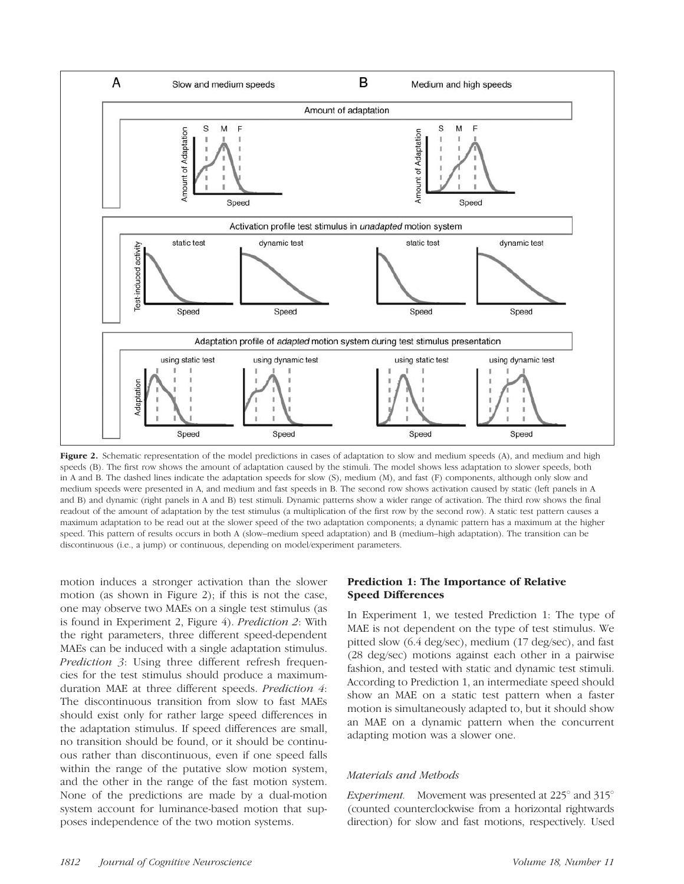

Figure 2. Schematic representation of the model predictions in cases of adaptation to slow and medium speeds (A), and medium and high speeds (B). The first row shows the amount of adaptation caused by the stimuli. The model shows less adaptation to slower speeds, both in A and B. The dashed lines indicate the adaptation speeds for slow (S), medium (M), and fast (F) components, although only slow and medium speeds were presented in A, and medium and fast speeds in B. The second row shows activation caused by static (left panels in A and B) and dynamic (right panels in A and B) test stimuli. Dynamic patterns show a wider range of activation. The third row shows the final readout of the amount of adaptation by the test stimulus (a multiplication of the first row by the second row). A static test pattern causes a maximum adaptation to be read out at the slower speed of the two adaptation components; a dynamic pattern has a maximum at the higher speed. This pattern of results occurs in both A (slow–medium speed adaptation) and B (medium–high adaptation). The transition can be discontinuous (i.e., a jump) or continuous, depending on model/experiment parameters.

motion induces a stronger activation than the slower motion (as shown in Figure 2); if this is not the case, one may observe two MAEs on a single test stimulus (as is found in Experiment 2, Figure 4). Prediction 2: With the right parameters, three different speed-dependent MAEs can be induced with a single adaptation stimulus. Prediction 3: Using three different refresh frequencies for the test stimulus should produce a maximumduration MAE at three different speeds. Prediction 4: The discontinuous transition from slow to fast MAEs should exist only for rather large speed differences in the adaptation stimulus. If speed differences are small, no transition should be found, or it should be continuous rather than discontinuous, even if one speed falls within the range of the putative slow motion system, and the other in the range of the fast motion system. None of the predictions are made by a dual-motion system account for luminance-based motion that supposes independence of the two motion systems.

## Prediction 1: The Importance of Relative Speed Differences

In Experiment 1, we tested Prediction 1: The type of MAE is not dependent on the type of test stimulus. We pitted slow (6.4 deg/sec), medium (17 deg/sec), and fast (28 deg/sec) motions against each other in a pairwise fashion, and tested with static and dynamic test stimuli. According to Prediction 1, an intermediate speed should show an MAE on a static test pattern when a faster motion is simultaneously adapted to, but it should show an MAE on a dynamic pattern when the concurrent adapting motion was a slower one.

## Materials and Methods

*Experiment.* Movement was presented at  $225^{\circ}$  and  $315^{\circ}$ (counted counterclockwise from a horizontal rightwards direction) for slow and fast motions, respectively. Used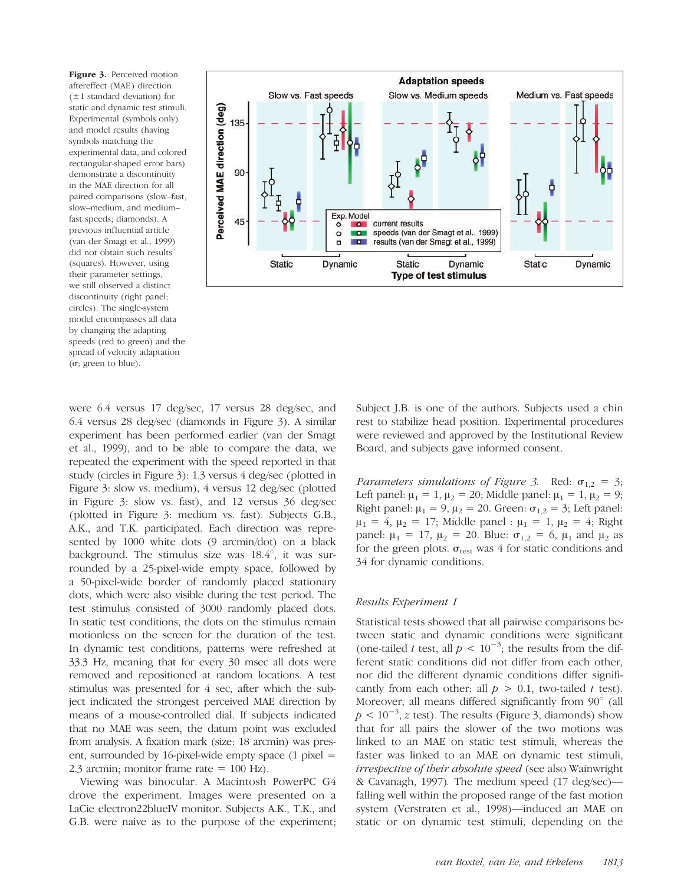Figure 3. Perceived motion aftereffect (MAE) direction  $(\pm 1$  standard deviation) for static and dynamic test stimuli. Experimental (symbols only) and model results (having symbols matching the experimental data, and colored rectangular-shaped error bars) demonstrate a discontinuity in the MAE direction for all paired comparisons (slow–fast, slow–medium, and medium– fast speeds; diamonds). A previous influential article (van der Smagt et al., 1999) did not obtain such results (squares). However, using their parameter settings, we still observed a distinct discontinuity (right panel; circles). The single-system model encompasses all data by changing the adapting speeds (red to green) and the spread of velocity adaptation  $(\sigma; \text{green to blue}).$ 



were 6.4 versus 17 deg/sec, 17 versus 28 deg/sec, and 6.4 versus 28 deg/sec (diamonds in Figure 3). A similar experiment has been performed earlier (van der Smagt et al., 1999), and to be able to compare the data, we repeated the experiment with the speed reported in that study (circles in Figure 3): 1.3 versus 4 deg/sec (plotted in Figure 3: slow vs. medium), 4 versus 12 deg/sec (plotted in Figure 3: slow vs. fast), and 12 versus 36 deg/sec (plotted in Figure 3: medium vs. fast). Subjects G.B., A.K., and T.K. participated. Each direction was represented by 1000 white dots (9 arcmin/dot) on a black background. The stimulus size was  $18.4^{\circ}$ , it was surrounded by a 25-pixel-wide empty space, followed by a 50-pixel-wide border of randomly placed stationary dots, which were also visible during the test period. The test stimulus consisted of 3000 randomly placed dots. In static test conditions, the dots on the stimulus remain motionless on the screen for the duration of the test. In dynamic test conditions, patterns were refreshed at 33.3 Hz, meaning that for every 30 msec all dots were removed and repositioned at random locations. A test stimulus was presented for 4 sec, after which the subject indicated the strongest perceived MAE direction by means of a mouse-controlled dial. If subjects indicated that no MAE was seen, the datum point was excluded from analysis. A fixation mark (size: 18 arcmin) was present, surrounded by 16-pixel-wide empty space (1 pixel = 2.3 arcmin; monitor frame rate = 100 Hz).

Viewing was binocular. A Macintosh PowerPC G4 drove the experiment. Images were presented on a LaCie electron22blueIV monitor. Subjects A.K., T.K., and G.B. were naive as to the purpose of the experiment; Subject J.B. is one of the authors. Subjects used a chin rest to stabilize head position. Experimental procedures were reviewed and approved by the Institutional Review Board, and subjects gave informed consent.

Parameters simulations of Figure 3. Red:  $\sigma_{1,2} = 3$ ; Left panel:  $\mu_1 = 1$ ,  $\mu_2 = 20$ ; Middle panel:  $\mu_1 = 1$ ,  $\mu_2 = 9$ ; Right panel:  $\mu_1 = 9$ ,  $\mu_2 = 20$ . Green:  $\sigma_{1,2} = 3$ ; Left panel:  $\mu_1 = 4$ ,  $\mu_2 = 17$ ; Middle panel :  $\mu_1 = 1$ ,  $\mu_2 = 4$ ; Right panel:  $\mu_1 = 17$ ,  $\mu_2 = 20$ . Blue:  $\sigma_{1,2} = 6$ ,  $\mu_1$  and  $\mu_2$  as for the green plots.  $\sigma_{\text{test}}$  was 4 for static conditions and 34 for dynamic conditions.

#### Results Experiment 1

Statistical tests showed that all pairwise comparisons between static and dynamic conditions were significant (one-tailed t test, all  $p < 10^{-3}$ ; the results from the different static conditions did not differ from each other, nor did the different dynamic conditions differ significantly from each other: all  $p > 0.1$ , two-tailed t test). Moreover, all means differed significantly from  $90^\circ$  (all  $p < 10^{-3}$ , z test). The results (Figure 3, diamonds) show that for all pairs the slower of the two motions was linked to an MAE on static test stimuli, whereas the faster was linked to an MAE on dynamic test stimuli, irrespective of their absolute speed (see also Wainwright & Cavanagh, 1997). The medium speed (17 deg/sec) falling well within the proposed range of the fast motion system (Verstraten et al., 1998)—induced an MAE on static or on dynamic test stimuli, depending on the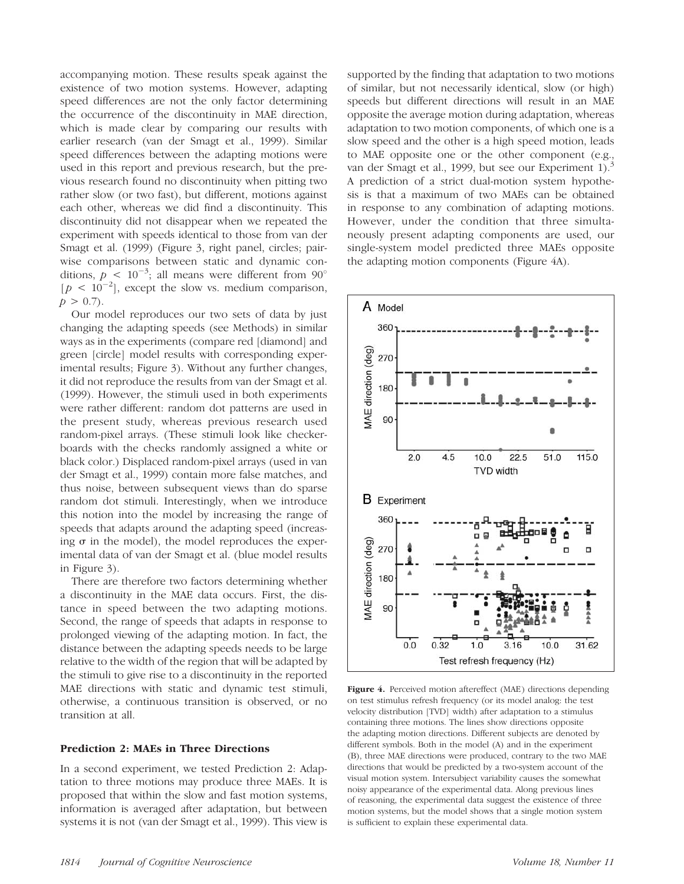accompanying motion. These results speak against the existence of two motion systems. However, adapting speed differences are not the only factor determining the occurrence of the discontinuity in MAE direction, which is made clear by comparing our results with earlier research (van der Smagt et al., 1999). Similar speed differences between the adapting motions were used in this report and previous research, but the previous research found no discontinuity when pitting two rather slow (or two fast), but different, motions against each other, whereas we did find a discontinuity. This discontinuity did not disappear when we repeated the experiment with speeds identical to those from van der Smagt et al. (1999) (Figure 3, right panel, circles; pairwise comparisons between static and dynamic conditions,  $p \sim 10^{-3}$ ; all means were different from 90°  $[p < 10^{-2}]$ , except the slow vs. medium comparison,  $p > 0.7$ ).

Our model reproduces our two sets of data by just changing the adapting speeds (see Methods) in similar ways as in the experiments (compare red [diamond] and green [circle] model results with corresponding experimental results; Figure 3). Without any further changes, it did not reproduce the results from van der Smagt et al. (1999). However, the stimuli used in both experiments were rather different: random dot patterns are used in the present study, whereas previous research used random-pixel arrays. (These stimuli look like checkerboards with the checks randomly assigned a white or black color.) Displaced random-pixel arrays (used in van der Smagt et al., 1999) contain more false matches, and thus noise, between subsequent views than do sparse random dot stimuli. Interestingly, when we introduce this notion into the model by increasing the range of speeds that adapts around the adapting speed (increasing  $\sigma$  in the model), the model reproduces the experimental data of van der Smagt et al. (blue model results in Figure 3).

There are therefore two factors determining whether a discontinuity in the MAE data occurs. First, the distance in speed between the two adapting motions. Second, the range of speeds that adapts in response to prolonged viewing of the adapting motion. In fact, the distance between the adapting speeds needs to be large relative to the width of the region that will be adapted by the stimuli to give rise to a discontinuity in the reported MAE directions with static and dynamic test stimuli, otherwise, a continuous transition is observed, or no transition at all.

#### Prediction 2: MAEs in Three Directions

In a second experiment, we tested Prediction 2: Adaptation to three motions may produce three MAEs. It is proposed that within the slow and fast motion systems, information is averaged after adaptation, but between systems it is not (van der Smagt et al., 1999). This view is supported by the finding that adaptation to two motions of similar, but not necessarily identical, slow (or high) speeds but different directions will result in an MAE opposite the average motion during adaptation, whereas adaptation to two motion components, of which one is a slow speed and the other is a high speed motion, leads to MAE opposite one or the other component (e.g., van der Smagt et al., 1999, but see our Experiment 1).<sup>3</sup> A prediction of a strict dual-motion system hypothesis is that a maximum of two MAEs can be obtained in response to any combination of adapting motions. However, under the condition that three simultaneously present adapting components are used, our single-system model predicted three MAEs opposite the adapting motion components (Figure 4A).



Figure 4. Perceived motion aftereffect (MAE) directions depending on test stimulus refresh frequency (or its model analog: the test velocity distribution [TVD] width) after adaptation to a stimulus containing three motions. The lines show directions opposite the adapting motion directions. Different subjects are denoted by different symbols. Both in the model (A) and in the experiment (B), three MAE directions were produced, contrary to the two MAE directions that would be predicted by a two-system account of the visual motion system. Intersubject variability causes the somewhat noisy appearance of the experimental data. Along previous lines of reasoning, the experimental data suggest the existence of three motion systems, but the model shows that a single motion system is sufficient to explain these experimental data.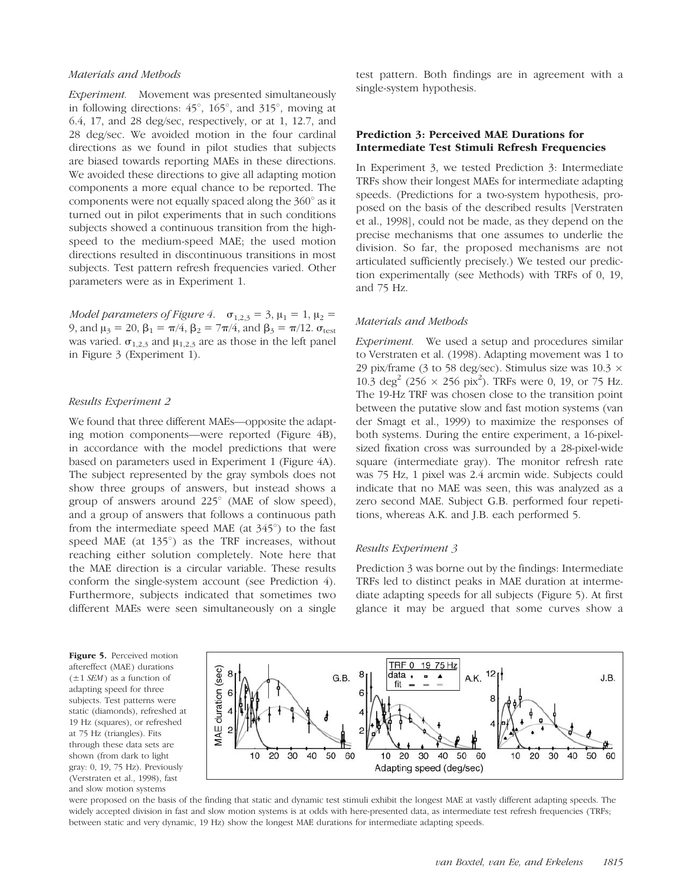#### Materials and Methods

Experiment. Movement was presented simultaneously in following directions:  $45^\circ$ ,  $165^\circ$ , and  $315^\circ$ , moving at 6.4, 17, and 28 deg/sec, respectively, or at 1, 12.7, and 28 deg/sec. We avoided motion in the four cardinal directions as we found in pilot studies that subjects are biased towards reporting MAEs in these directions. We avoided these directions to give all adapting motion components a more equal chance to be reported. The components were not equally spaced along the  $360^\circ$  as it turned out in pilot experiments that in such conditions subjects showed a continuous transition from the highspeed to the medium-speed MAE; the used motion directions resulted in discontinuous transitions in most subjects. Test pattern refresh frequencies varied. Other parameters were as in Experiment 1.

Model parameters of Figure 4.  $\sigma_{1,2,3} = 3$ ,  $\mu_1 = 1$ ,  $\mu_2 =$ 9, and  $\mu_3 = 20$ ,  $\beta_1 = \pi/4$ ,  $\beta_2 = 7\pi/4$ , and  $\beta_3 = \pi/12$ .  $\sigma_{\text{test}}$ was varied.  $\sigma_{1,2,3}$  and  $\mu_{1,2,3}$  are as those in the left panel in Figure 3 (Experiment 1).

#### Results Experiment 2

We found that three different MAEs—opposite the adapting motion components—were reported (Figure 4B), in accordance with the model predictions that were based on parameters used in Experiment 1 (Figure 4A). The subject represented by the gray symbols does not show three groups of answers, but instead shows a group of answers around  $225^{\circ}$  (MAE of slow speed), and a group of answers that follows a continuous path from the intermediate speed MAE (at  $345^{\circ}$ ) to the fast speed MAE (at  $135^\circ$ ) as the TRF increases, without reaching either solution completely. Note here that the MAE direction is a circular variable. These results conform the single-system account (see Prediction 4). Furthermore, subjects indicated that sometimes two different MAEs were seen simultaneously on a single test pattern. Both findings are in agreement with a single-system hypothesis.

## Prediction 3: Perceived MAE Durations for Intermediate Test Stimuli Refresh Frequencies

In Experiment 3, we tested Prediction 3: Intermediate TRFs show their longest MAEs for intermediate adapting speeds. (Predictions for a two-system hypothesis, proposed on the basis of the described results [Verstraten et al., 1998], could not be made, as they depend on the precise mechanisms that one assumes to underlie the division. So far, the proposed mechanisms are not articulated sufficiently precisely.) We tested our prediction experimentally (see Methods) with TRFs of 0, 19, and 75 Hz.

#### Materials and Methods

Experiment. We used a setup and procedures similar to Verstraten et al. (1998). Adapting movement was 1 to 29 pix/frame (3 to 58 deg/sec). Stimulus size was  $10.3 \times$ 10.3 deg<sup>2</sup> (256  $\times$  256 pix<sup>2</sup>). TRFs were 0, 19, or 75 Hz. The 19-Hz TRF was chosen close to the transition point between the putative slow and fast motion systems (van der Smagt et al., 1999) to maximize the responses of both systems. During the entire experiment, a 16-pixelsized fixation cross was surrounded by a 28-pixel-wide square (intermediate gray). The monitor refresh rate was 75 Hz, 1 pixel was 2.4 arcmin wide. Subjects could indicate that no MAE was seen, this was analyzed as a zero second MAE. Subject G.B. performed four repetitions, whereas A.K. and J.B. each performed 5.

#### Results Experiment 3

Prediction 3 was borne out by the findings: Intermediate TRFs led to distinct peaks in MAE duration at intermediate adapting speeds for all subjects (Figure 5). At first glance it may be argued that some curves show a

Figure 5. Perceived motion aftereffect (MAE) durations  $(\pm 1)$  *SEM*) as a function of adapting speed for three subjects. Test patterns were static (diamonds), refreshed at 19 Hz (squares), or refreshed at 75 Hz (triangles). Fits through these data sets are shown (from dark to light gray: 0, 19, 75 Hz). Previously (Verstraten et al., 1998), fast and slow motion systems



were proposed on the basis of the finding that static and dynamic test stimuli exhibit the longest MAE at vastly different adapting speeds. The widely accepted division in fast and slow motion systems is at odds with here-presented data, as intermediate test refresh frequencies (TRFs; between static and very dynamic, 19 Hz) show the longest MAE durations for intermediate adapting speeds.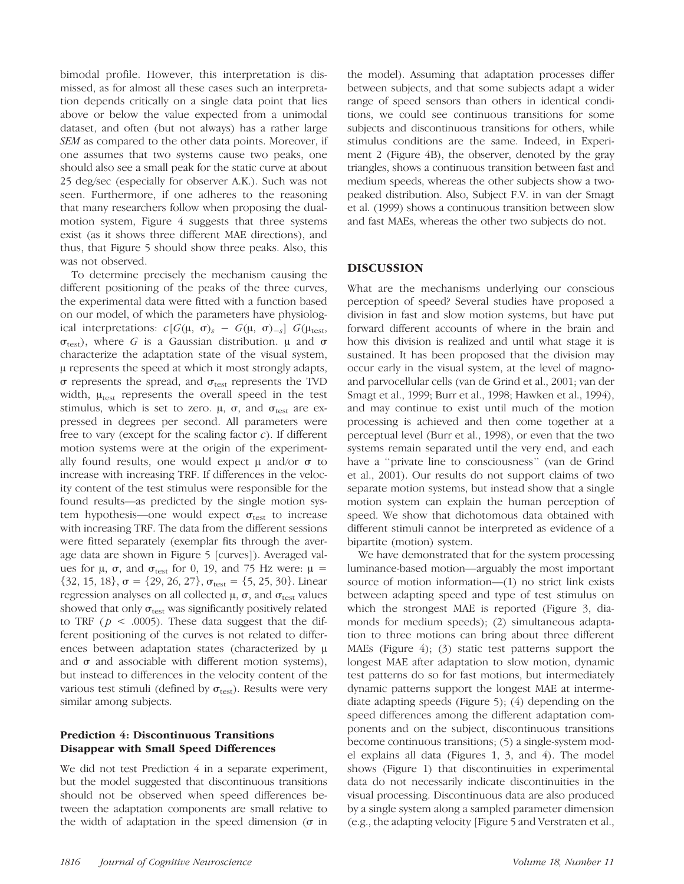bimodal profile. However, this interpretation is dismissed, as for almost all these cases such an interpretation depends critically on a single data point that lies above or below the value expected from a unimodal dataset, and often (but not always) has a rather large SEM as compared to the other data points. Moreover, if one assumes that two systems cause two peaks, one should also see a small peak for the static curve at about 25 deg/sec (especially for observer A.K.). Such was not seen. Furthermore, if one adheres to the reasoning that many researchers follow when proposing the dualmotion system, Figure 4 suggests that three systems exist (as it shows three different MAE directions), and thus, that Figure 5 should show three peaks. Also, this was not observed.

To determine precisely the mechanism causing the different positioning of the peaks of the three curves, the experimental data were fitted with a function based on our model, of which the parameters have physiological interpretations:  $c[G(\mu, \sigma)]_s - G(\mu, \sigma)_{-s}] G(\mu_{\text{test}},$  $\sigma_{\text{test}}$ ), where G is a Gaussian distribution.  $\mu$  and  $\sigma$ characterize the adaptation state of the visual system,  $\mu$  represents the speed at which it most strongly adapts,  $\sigma$  represents the spread, and  $\sigma_{\text{test}}$  represents the TVD width,  $\mu_{\text{test}}$  represents the overall speed in the test stimulus, which is set to zero.  $\mu$ ,  $\sigma$ , and  $\sigma_{\text{test}}$  are expressed in degrees per second. All parameters were free to vary (except for the scaling factor  $c$ ). If different motion systems were at the origin of the experimentally found results, one would expect  $\mu$  and/or  $\sigma$  to increase with increasing TRF. If differences in the velocity content of the test stimulus were responsible for the found results—as predicted by the single motion system hypothesis—one would expect  $\sigma_{\text{test}}$  to increase with increasing TRF. The data from the different sessions were fitted separately (exemplar fits through the average data are shown in Figure 5 [curves]). Averaged values for  $\mu$ ,  $\sigma$ , and  $\sigma_{\text{test}}$  for 0, 19, and 75 Hz were:  $\mu$  =  $\{32, 15, 18\}, \sigma = \{29, 26, 27\}, \sigma_{\text{test}} = \{5, 25, 30\}.$  Linear regression analyses on all collected  $\mu$ ,  $\sigma$ , and  $\sigma_{\text{test}}$  values showed that only  $\sigma_{\text{test}}$  was significantly positively related to TRF ( $p < .0005$ ). These data suggest that the different positioning of the curves is not related to differences between adaptation states (characterized by  $\mu$ and  $\sigma$  and associable with different motion systems), but instead to differences in the velocity content of the various test stimuli (defined by  $\sigma_{\text{test}}$ ). Results were very similar among subjects.

## Prediction 4: Discontinuous Transitions Disappear with Small Speed Differences

We did not test Prediction 4 in a separate experiment, but the model suggested that discontinuous transitions should not be observed when speed differences between the adaptation components are small relative to the width of adaptation in the speed dimension ( $\sigma$  in

the model). Assuming that adaptation processes differ between subjects, and that some subjects adapt a wider range of speed sensors than others in identical conditions, we could see continuous transitions for some subjects and discontinuous transitions for others, while stimulus conditions are the same. Indeed, in Experiment 2 (Figure 4B), the observer, denoted by the gray triangles, shows a continuous transition between fast and medium speeds, whereas the other subjects show a twopeaked distribution. Also, Subject F.V. in van der Smagt et al. (1999) shows a continuous transition between slow and fast MAEs, whereas the other two subjects do not.

## DISCUSSION

What are the mechanisms underlying our conscious perception of speed? Several studies have proposed a division in fast and slow motion systems, but have put forward different accounts of where in the brain and how this division is realized and until what stage it is sustained. It has been proposed that the division may occur early in the visual system, at the level of magnoand parvocellular cells (van de Grind et al., 2001; van der Smagt et al., 1999; Burr et al., 1998; Hawken et al., 1994), and may continue to exist until much of the motion processing is achieved and then come together at a perceptual level (Burr et al., 1998), or even that the two systems remain separated until the very end, and each have a ''private line to consciousness'' (van de Grind et al., 2001). Our results do not support claims of two separate motion systems, but instead show that a single motion system can explain the human perception of speed. We show that dichotomous data obtained with different stimuli cannot be interpreted as evidence of a bipartite (motion) system.

We have demonstrated that for the system processing luminance-based motion—arguably the most important source of motion information—(1) no strict link exists between adapting speed and type of test stimulus on which the strongest MAE is reported (Figure 3, diamonds for medium speeds); (2) simultaneous adaptation to three motions can bring about three different MAEs (Figure 4); (3) static test patterns support the longest MAE after adaptation to slow motion, dynamic test patterns do so for fast motions, but intermediately dynamic patterns support the longest MAE at intermediate adapting speeds (Figure 5); (4) depending on the speed differences among the different adaptation components and on the subject, discontinuous transitions become continuous transitions; (5) a single-system model explains all data (Figures 1, 3, and 4). The model shows (Figure 1) that discontinuities in experimental data do not necessarily indicate discontinuities in the visual processing. Discontinuous data are also produced by a single system along a sampled parameter dimension (e.g., the adapting velocity [Figure 5 and Verstraten et al.,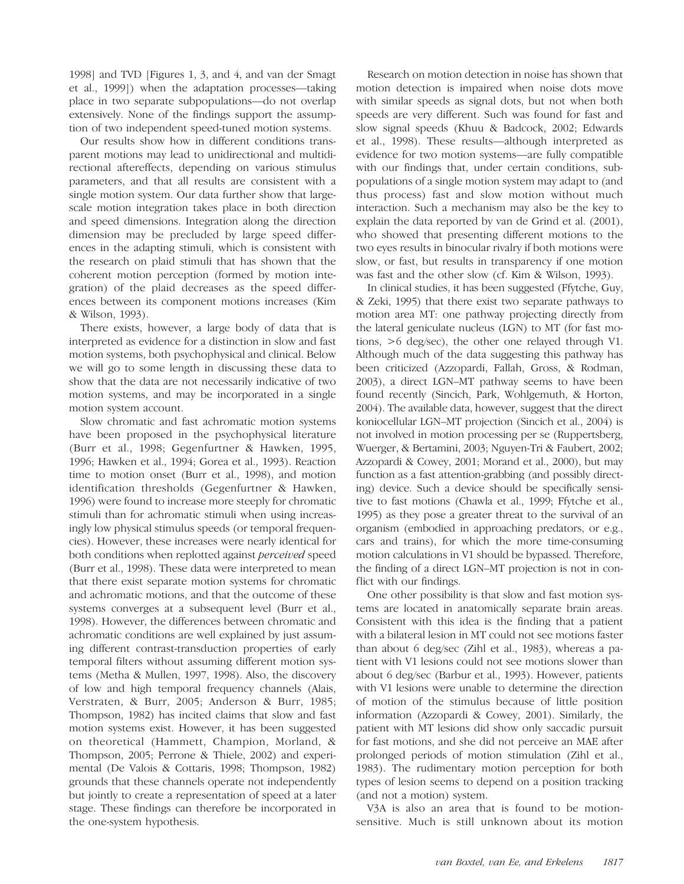1998] and TVD [Figures 1, 3, and 4, and van der Smagt et al., 1999]) when the adaptation processes—taking place in two separate subpopulations—do not overlap extensively. None of the findings support the assumption of two independent speed-tuned motion systems.

Our results show how in different conditions transparent motions may lead to unidirectional and multidirectional aftereffects, depending on various stimulus parameters, and that all results are consistent with a single motion system. Our data further show that largescale motion integration takes place in both direction and speed dimensions. Integration along the direction dimension may be precluded by large speed differences in the adapting stimuli, which is consistent with the research on plaid stimuli that has shown that the coherent motion perception (formed by motion integration) of the plaid decreases as the speed differences between its component motions increases (Kim & Wilson, 1993).

There exists, however, a large body of data that is interpreted as evidence for a distinction in slow and fast motion systems, both psychophysical and clinical. Below we will go to some length in discussing these data to show that the data are not necessarily indicative of two motion systems, and may be incorporated in a single motion system account.

Slow chromatic and fast achromatic motion systems have been proposed in the psychophysical literature (Burr et al., 1998; Gegenfurtner & Hawken, 1995, 1996; Hawken et al., 1994; Gorea et al., 1993). Reaction time to motion onset (Burr et al., 1998), and motion identification thresholds (Gegenfurtner & Hawken, 1996) were found to increase more steeply for chromatic stimuli than for achromatic stimuli when using increasingly low physical stimulus speeds (or temporal frequencies). However, these increases were nearly identical for both conditions when replotted against perceived speed (Burr et al., 1998). These data were interpreted to mean that there exist separate motion systems for chromatic and achromatic motions, and that the outcome of these systems converges at a subsequent level (Burr et al., 1998). However, the differences between chromatic and achromatic conditions are well explained by just assuming different contrast-transduction properties of early temporal filters without assuming different motion systems (Metha & Mullen, 1997, 1998). Also, the discovery of low and high temporal frequency channels (Alais, Verstraten, & Burr, 2005; Anderson & Burr, 1985; Thompson, 1982) has incited claims that slow and fast motion systems exist. However, it has been suggested on theoretical (Hammett, Champion, Morland, & Thompson, 2005; Perrone & Thiele, 2002) and experimental (De Valois & Cottaris, 1998; Thompson, 1982) grounds that these channels operate not independently but jointly to create a representation of speed at a later stage. These findings can therefore be incorporated in the one-system hypothesis.

Research on motion detection in noise has shown that motion detection is impaired when noise dots move with similar speeds as signal dots, but not when both speeds are very different. Such was found for fast and slow signal speeds (Khuu & Badcock, 2002; Edwards et al., 1998). These results—although interpreted as evidence for two motion systems—are fully compatible with our findings that, under certain conditions, subpopulations of a single motion system may adapt to (and thus process) fast and slow motion without much interaction. Such a mechanism may also be the key to explain the data reported by van de Grind et al. (2001), who showed that presenting different motions to the two eyes results in binocular rivalry if both motions were slow, or fast, but results in transparency if one motion was fast and the other slow (cf. Kim & Wilson, 1993).

In clinical studies, it has been suggested (Ffytche, Guy, & Zeki, 1995) that there exist two separate pathways to motion area MT: one pathway projecting directly from the lateral geniculate nucleus (LGN) to MT (for fast motions, >6 deg/sec), the other one relayed through V1. Although much of the data suggesting this pathway has been criticized (Azzopardi, Fallah, Gross, & Rodman, 2003), a direct LGN–MT pathway seems to have been found recently (Sincich, Park, Wohlgemuth, & Horton, 2004). The available data, however, suggest that the direct koniocellular LGN–MT projection (Sincich et al., 2004) is not involved in motion processing per se (Ruppertsberg, Wuerger, & Bertamini, 2003; Nguyen-Tri & Faubert, 2002; Azzopardi & Cowey, 2001; Morand et al., 2000), but may function as a fast attention-grabbing (and possibly directing) device. Such a device should be specifically sensitive to fast motions (Chawla et al., 1999; Ffytche et al., 1995) as they pose a greater threat to the survival of an organism (embodied in approaching predators, or e.g., cars and trains), for which the more time-consuming motion calculations in V1 should be bypassed. Therefore, the finding of a direct LGN–MT projection is not in conflict with our findings.

One other possibility is that slow and fast motion systems are located in anatomically separate brain areas. Consistent with this idea is the finding that a patient with a bilateral lesion in MT could not see motions faster than about 6 deg/sec (Zihl et al., 1983), whereas a patient with V1 lesions could not see motions slower than about 6 deg/sec (Barbur et al., 1993). However, patients with V1 lesions were unable to determine the direction of motion of the stimulus because of little position information (Azzopardi & Cowey, 2001). Similarly, the patient with MT lesions did show only saccadic pursuit for fast motions, and she did not perceive an MAE after prolonged periods of motion stimulation (Zihl et al., 1983). The rudimentary motion perception for both types of lesion seems to depend on a position tracking (and not a motion) system.

V3A is also an area that is found to be motionsensitive. Much is still unknown about its motion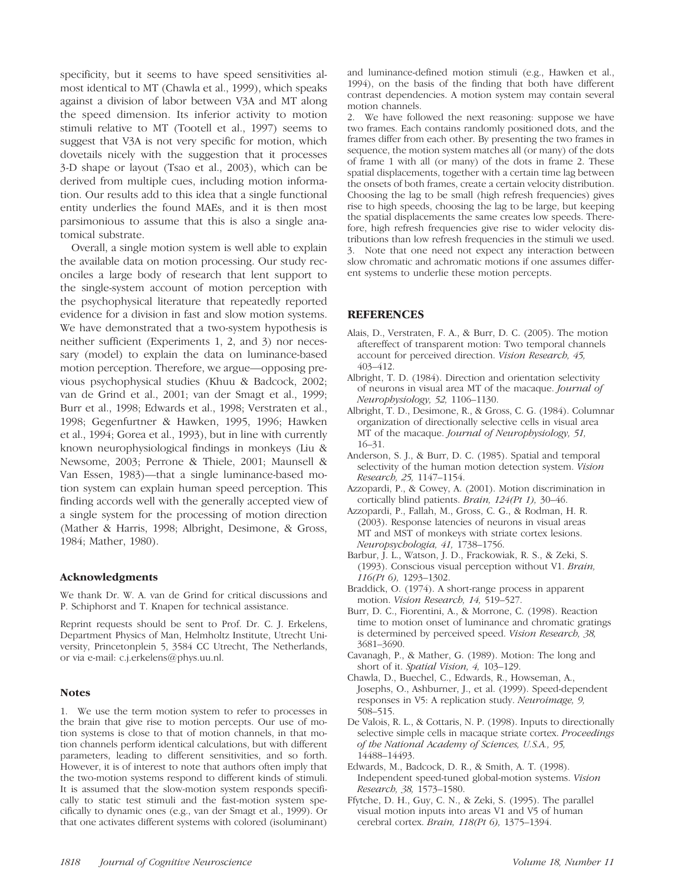specificity, but it seems to have speed sensitivities almost identical to MT (Chawla et al., 1999), which speaks against a division of labor between V3A and MT along the speed dimension. Its inferior activity to motion stimuli relative to MT (Tootell et al., 1997) seems to suggest that V3A is not very specific for motion, which dovetails nicely with the suggestion that it processes 3-D shape or layout (Tsao et al., 2003), which can be derived from multiple cues, including motion information. Our results add to this idea that a single functional entity underlies the found MAEs, and it is then most parsimonious to assume that this is also a single anatomical substrate.

Overall, a single motion system is well able to explain the available data on motion processing. Our study reconciles a large body of research that lent support to the single-system account of motion perception with the psychophysical literature that repeatedly reported evidence for a division in fast and slow motion systems. We have demonstrated that a two-system hypothesis is neither sufficient (Experiments 1, 2, and 3) nor necessary (model) to explain the data on luminance-based motion perception. Therefore, we argue—opposing previous psychophysical studies (Khuu & Badcock, 2002; van de Grind et al., 2001; van der Smagt et al., 1999; Burr et al., 1998; Edwards et al., 1998; Verstraten et al., 1998; Gegenfurtner & Hawken, 1995, 1996; Hawken et al., 1994; Gorea et al., 1993), but in line with currently known neurophysiological findings in monkeys (Liu & Newsome, 2003; Perrone & Thiele, 2001; Maunsell & Van Essen, 1983)—that a single luminance-based motion system can explain human speed perception. This finding accords well with the generally accepted view of a single system for the processing of motion direction (Mather & Harris, 1998; Albright, Desimone, & Gross, 1984; Mather, 1980).

## Acknowledgments

We thank Dr. W. A. van de Grind for critical discussions and P. Schiphorst and T. Knapen for technical assistance.

Reprint requests should be sent to Prof. Dr. C. J. Erkelens, Department Physics of Man, Helmholtz Institute, Utrecht University, Princetonplein 5, 3584 CC Utrecht, The Netherlands, or via e-mail: c.j.erkelens@phys.uu.nl.

#### **Notes**

1. We use the term motion system to refer to processes in the brain that give rise to motion percepts. Our use of motion systems is close to that of motion channels, in that motion channels perform identical calculations, but with different parameters, leading to different sensitivities, and so forth. However, it is of interest to note that authors often imply that the two-motion systems respond to different kinds of stimuli. It is assumed that the slow-motion system responds specifically to static test stimuli and the fast-motion system specifically to dynamic ones (e.g., van der Smagt et al., 1999). Or that one activates different systems with colored (isoluminant)

and luminance-defined motion stimuli (e.g., Hawken et al., 1994), on the basis of the finding that both have different contrast dependencies. A motion system may contain several motion channels.

2. We have followed the next reasoning: suppose we have two frames. Each contains randomly positioned dots, and the frames differ from each other. By presenting the two frames in sequence, the motion system matches all (or many) of the dots of frame 1 with all (or many) of the dots in frame 2. These spatial displacements, together with a certain time lag between the onsets of both frames, create a certain velocity distribution. Choosing the lag to be small (high refresh frequencies) gives rise to high speeds, choosing the lag to be large, but keeping the spatial displacements the same creates low speeds. Therefore, high refresh frequencies give rise to wider velocity distributions than low refresh frequencies in the stimuli we used. 3. Note that one need not expect any interaction between slow chromatic and achromatic motions if one assumes different systems to underlie these motion percepts.

#### **REFERENCES**

- Alais, D., Verstraten, F. A., & Burr, D. C. (2005). The motion aftereffect of transparent motion: Two temporal channels account for perceived direction. Vision Research, 45, 403–412.
- Albright, T. D. (1984). Direction and orientation selectivity of neurons in visual area MT of the macaque. Journal of Neurophysiology, 52, 1106–1130.
- Albright, T. D., Desimone, R., & Gross, C. G. (1984). Columnar organization of directionally selective cells in visual area MT of the macaque. *Journal of Neurophysiology*, 51, 16–31.
- Anderson, S. J., & Burr, D. C. (1985). Spatial and temporal selectivity of the human motion detection system. Vision Research, 25, 1147–1154.
- Azzopardi, P., & Cowey, A. (2001). Motion discrimination in cortically blind patients. Brain, 124(Pt 1), 30–46.
- Azzopardi, P., Fallah, M., Gross, C. G., & Rodman, H. R. (2003). Response latencies of neurons in visual areas MT and MST of monkeys with striate cortex lesions. Neuropsychologia, 41, 1738–1756.
- Barbur, J. L., Watson, J. D., Frackowiak, R. S., & Zeki, S. (1993). Conscious visual perception without V1. Brain, 116(Pt 6), 1293–1302.
- Braddick, O. (1974). A short-range process in apparent motion. Vision Research, 14, 519–527.
- Burr, D. C., Fiorentini, A., & Morrone, C. (1998). Reaction time to motion onset of luminance and chromatic gratings is determined by perceived speed. Vision Research, 38, 3681–3690.
- Cavanagh, P., & Mather, G. (1989). Motion: The long and short of it. Spatial Vision, 4, 103-129.
- Chawla, D., Buechel, C., Edwards, R., Howseman, A., Josephs, O., Ashburner, J., et al. (1999). Speed-dependent responses in V5: A replication study. Neuroimage, 9, 508–515.
- De Valois, R. L., & Cottaris, N. P. (1998). Inputs to directionally selective simple cells in macaque striate cortex. *Proceedings* of the National Academy of Sciences, U.S.A., 95, 14488–14493.
- Edwards, M., Badcock, D. R., & Smith, A. T. (1998). Independent speed-tuned global-motion systems. Vision Research, 38, 1573–1580.
- Ffytche, D. H., Guy, C. N., & Zeki, S. (1995). The parallel visual motion inputs into areas V1 and V5 of human cerebral cortex. Brain, 118(Pt 6), 1375–1394.